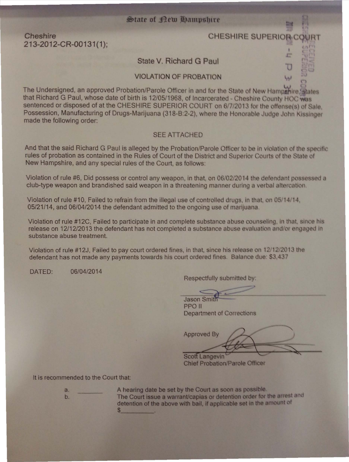## State of New Hampshire

Cheshire 213-2012-CR-00131(1);

# **CHESHIRE SUPERIC**

State V. Richard G Paul

**VIOLATION OF PROBATION** 

The Undersigned, an approved Probation/Parole Officer in and for the State of New Hampshire. States that Richard G Paul, whose date of birth is 12/05/1968, of Incarcerated - Cheshire County HOC was sentenced or disposed of at the CHESHIRE SUPERIOR COURT on 6/7/2013 for the offense(s) of Sale, Possession, Manufacturing of Drugs-Marijuana (318-B:2-2), where the Honorable Judge John Kissinger made the following order:

## **SEE ATTACHED**

And that the said Richard G Paul is alleged by the Probation/Parole Officer to be in violation of the specific rules of probation as contained in the Rules of Court of the District and Superior Courts of the State of New Hampshire, and any special rules of the Court, as follows:

Violation of rule #6, Did possess or control any weapon, in that, on 06/02/2014 the defendant possessed a club-type weapon and brandished said weapon in a threatening manner during a verbal altercation.

Violation of rule #10, Failed to refrain from the illegal use of controlled drugs, in that, on 05/14/14, 05/21/14, and 06/04/2014 the defendant admitted to the ongoing use of marijuana.

Violation of rule #12C, Failed to participate in and complete substance abuse counseling, in that, since his release on 12/12/2013 the defendant has not completed a substance abuse evaluation and/or engaged in substance abuse treatment.

Violation of rule #12J, Failed to pay court ordered fines, in that, since his release on 12/12/2013 the defendant has not made any payments towards his court ordered fines. Balance due: \$3,437

06/04/2014 DATED:

Respectfully submitted by:

Jason Sm **PPO II** Department of Corrections

**Approved By** 

Scott Langevin **Chief Probation/Parole Officer** 

### It is recommended to the Court that:

a. b. A hearing date be set by the Court as soon as possible. The Court issue a warrant/capias or detention order for the arrest and detention of the above with bail, if applicable set in the amount of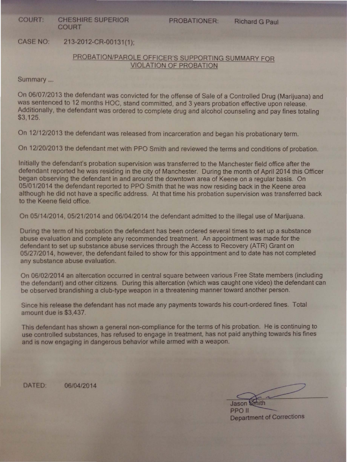COURT: CHESHIRE SUPERIOR COURT

PROBATIONER: Richard G Paul

CASE NO: 213-2012·CR-00131 {1 };

## PROBATION/PAROLE OFFICER'S SUPPORTING SUMMARY FOR VIOLATION OF PROEAT!ON

Summary ....

On 06/07/2013 the defendant was convicted for the offense of Sale of a Controlled Drug (Marijuana) and was sentenced to 12 months HOC, stand committed, and 3 years probation effective upon release. Additionally, the defendant was ordered to complete drug and alcohol counseling and pay fines totaling \$3, 125.

On 12/12/2013 the defendant was released from incarceration and began his probationary term.

On 12/20/2013 the defendant met with PPO Smith and reviewed the terms and conditions of probation.

Initially the defendant's probation supervision was transferred to the Manchester field office after the defendant reported he was residing in the city of Manchester. During the month of April 2014 this Officer began observing the defendant in and around the downtown area of Keene on a regular basis. On 05/01/2014 the defendant reported to PPO Smith that he was now residing back in the Keene area although he did not have a specific address. At that time his probation supervision was transferred back to the Keene field office.

Since his release the defendant has not made any payments towards his court-ordered fines. Total amount due is \$3,437.

This defendant has shown a general non-compliance for the terms of his probation. He is continuing to use controlled substances, has refused to engage in treatment, has not paid anything towards his fines and is now engaging in dangerous behavior while armed with a weapon.

DATED: 06/04/2014

**Jason** Smith PPO II Department of Corrections

On 05/14/2014, 05/21/2014 and 06/04/2014 the defendant admitted to the illegal use of Marijuana.

During the term of his probation the defendant has been ordered several times to set up a substance abuse evaluation and complete any recommended treatment. An appointment was made for the defendant to set up substance abuse services through the Access to Recovery (ATR) Grant on 05/27/2014, however, the defendant failed to show for this appointment and to date has not completed any substance abuse evaluation.

On 06/02/2014 an altercation occurred in central square between various Free State members (including the defendant) and other citizens. During this altercation (which was caught one video) the defendant can be observed brandishing a club-type weapon in a threatening manner toward another person.